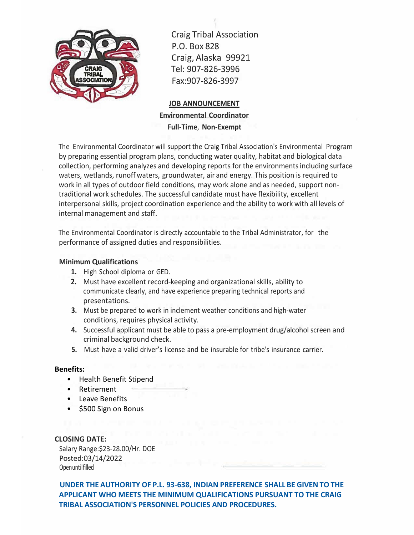

Craig Tribal Association P.O. Box 828 Craig, Alaska 99921 Tel: 907-826-3996 Fax:907-826-3997

## **JOB ANNOUNCEMENT Environmental Coordinator Full-Time**, **Non-Exempt**

The Environmental Coordinator will support the Craig Tribal Association's Environmental Program by preparing essential program plans, conducting water quality, habitat and biological data collection, performing analyzes and developing reports for the environmentsincluding surface waters, wetlands, runoff waters, groundwater, air and energy. This position is required to work in all types of outdoor field conditions, may work alone and as needed, support nontraditional work schedules. The successful candidate must have flexibility, excellent interpersonal skills, project coordination experience and the ability to work with all levels of internal management and staff.

The Environmental Coordinator is directly accountable to the Tribal Administrator, for the performance of assigned duties and responsibilities.

## **Minimum Qualifications**

- **1.** High School diploma or GED.
- **2.** Must have excellent record-keeping and organizational skills, ability to communicate clearly, and have experience preparing technical reports and presentations.
- **3.** Must be prepared to work in inclement weather conditions and high-water conditions, requires physical activity.
- **4.** Successful applicant must be able to pass a pre-employment drug/alcohol screen and criminal background check.
- **5.** Must have a valid driver's license and be insurable for tribe's insurance carrier.

## **Benefits:**

- Health Benefit Stipend
- Retirement
- Leave Benefits
- \$500 Sign on Bonus

**CLOSING DATE:** Salary Range:\$23-28.00/Hr. DOE Posted:03/14/2022 Openuntilfilled

**UNDER THE AUTHORITY OF P.L. 93-638, INDIAN PREFERENCE SHALL BE GIVEN TO THE APPLICANT WHO MEETS THE MINIMUM QUALIFICATIONS PURSUANT TO THE CRAIG TRIBAL ASSOCIATION'S PERSONNEL POLICIES AND PROCEDURES.**